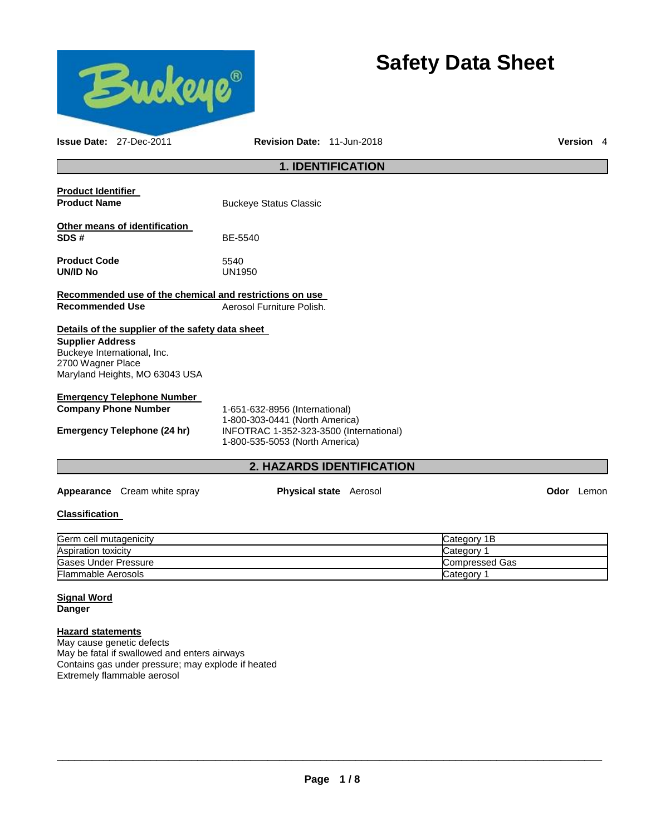

# **Safety Data Sheet**

**Issue Date:** 27-Dec-2011 **Revision Date:** 11-Jun-2018 **Version** 4

### **1. IDENTIFICATION**

| <b>Product Identifier</b>                               |                               |
|---------------------------------------------------------|-------------------------------|
| <b>Product Name</b>                                     | <b>Buckeye Status Classic</b> |
| Other means of identification<br>SDS#                   | BE-5540                       |
| <b>Product Code</b><br><b>UN/ID No</b>                  | 5540<br>UN1950                |
| Recommended use of the chemical and restrictions on use |                               |
| <b>Recommended Use</b>                                  | Aerosol Furniture Polish.     |
| Details of the supplier of the safety data sheet        |                               |
| <b>Supplier Address</b>                                 |                               |
| Buckeye International, Inc.                             |                               |
| 2700 Wagner Place                                       |                               |
| Maryland Heights, MO 63043 USA                          |                               |

### **Emergency Telephone Number**

**Company Phone Number** 1-651-632-8956 (International) 1-800-303-0441 (North America) **Emergency Telephone (24 hr)** INFOTRAC 1-352-323-3500 (International) 1-800-535-5053 (North America)

### **2. HAZARDS IDENTIFICATION**

**Appearance** Cream white spray **Physical state** Aerosol **Odor** Lemon

### **Classification**

| Germ cell mutagenicity     | Category 1B    |
|----------------------------|----------------|
| <b>Aspiration toxicity</b> | Category       |
| Gases Under Pressure       | Compressed Gas |
| <b>Flammable Aerosols</b>  | Category       |

### **Signal Word**

**Danger** 

### **Hazard statements**

May cause genetic defects May be fatal if swallowed and enters airways Contains gas under pressure; may explode if heated Extremely flammable aerosol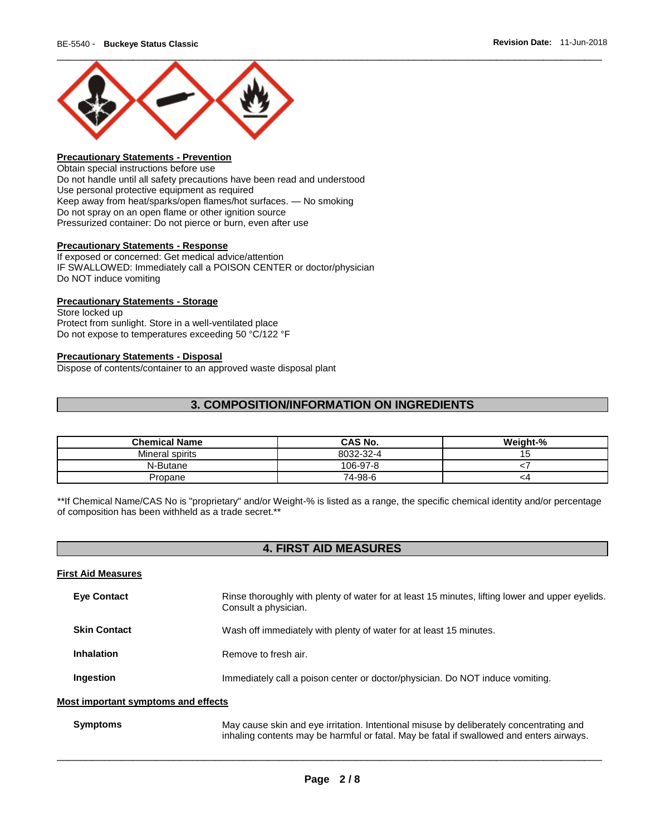

### **Precautionary Statements - Prevention**

Obtain special instructions before use Do not handle until all safety precautions have been read and understood Use personal protective equipment as required Keep away from heat/sparks/open flames/hot surfaces. — No smoking Do not spray on an open flame or other ignition source Pressurized container: Do not pierce or burn, even after use

#### **Precautionary Statements - Response**

If exposed or concerned: Get medical advice/attention IF SWALLOWED: Immediately call a POISON CENTER or doctor/physician Do NOT induce vomiting

### **Precautionary Statements - Storage**

Store locked up Protect from sunlight. Store in a well-ventilated place Do not expose to temperatures exceeding 50 °C/122 °F

#### **Precautionary Statements - Disposal**

Dispose of contents/container to an approved waste disposal plant

### **3. COMPOSITION/INFORMATION ON INGREDIENTS**

| <b>Chemical Name</b> | <b>CAS No.</b> | Weight-% |
|----------------------|----------------|----------|
| Mineral spirits      | 8032-32-4      | ıэ       |
| N-Butane             | 106-97-8       |          |
| Propane              | 74-98-6        | <4       |

\*\*If Chemical Name/CAS No is "proprietary" and/or Weight-% is listed as a range, the specific chemical identity and/or percentage of composition has been withheld as a trade secret.\*\*

### **4. FIRST AID MEASURES**

### **First Aid Measures**

| <b>Eye Contact</b>                | Rinse thoroughly with plenty of water for at least 15 minutes, lifting lower and upper eyelids.<br>Consult a physician. |
|-----------------------------------|-------------------------------------------------------------------------------------------------------------------------|
| <b>Skin Contact</b>               | Wash off immediately with plenty of water for at least 15 minutes.                                                      |
| <b>Inhalation</b>                 | Remove to fresh air.                                                                                                    |
| Ingestion                         | Immediately call a poison center or doctor/physician. Do NOT induce vomiting.                                           |
| et imnortant eymptome and offocte |                                                                                                                         |

#### **Most important symptoms and effects**

**Symptoms** May cause skin and eye irritation. Intentional misuse by deliberately concentrating and inhaling contents may be harmful or fatal. May be fatal if swallowed and enters airways.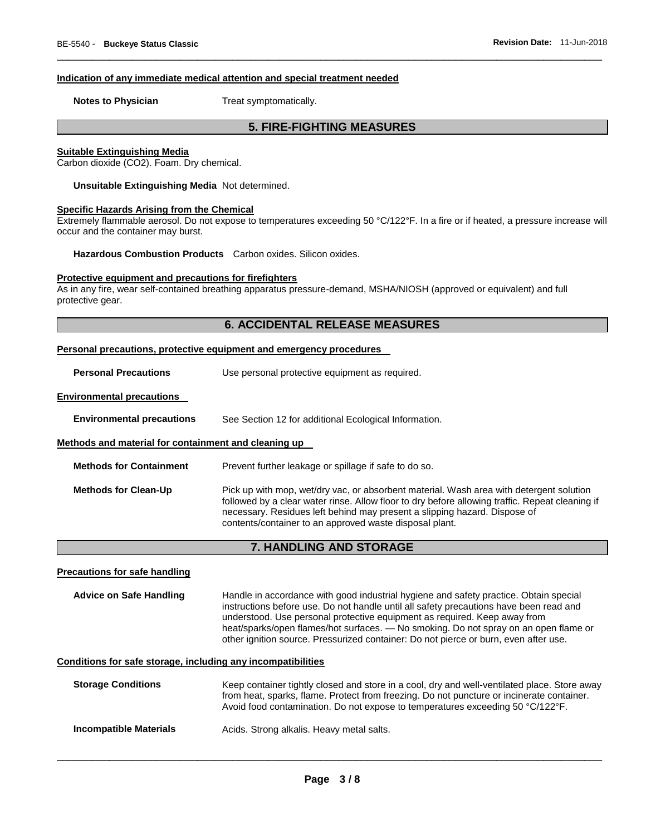#### **Indication of any immediate medical attention and special treatment needed**

**Notes to Physician Treat symptomatically.** 

### **5. FIRE-FIGHTING MEASURES**

\_\_\_\_\_\_\_\_\_\_\_\_\_\_\_\_\_\_\_\_\_\_\_\_\_\_\_\_\_\_\_\_\_\_\_\_\_\_\_\_\_\_\_\_\_\_\_\_\_\_\_\_\_\_\_\_\_\_\_\_\_\_\_\_\_\_\_\_\_\_\_\_\_\_\_\_\_\_\_\_\_\_\_\_\_\_\_\_\_\_\_\_\_

#### **Suitable Extinguishing Media**

Carbon dioxide (CO2). Foam. Dry chemical.

**Unsuitable Extinguishing Media** Not determined.

### **Specific Hazards Arising from the Chemical**

Extremely flammable aerosol. Do not expose to temperatures exceeding 50 °C/122°F. In a fire or if heated, a pressure increase will occur and the container may burst.

**Hazardous Combustion Products** Carbon oxides. Silicon oxides.

#### **Protective equipment and precautions for firefighters**

As in any fire, wear self-contained breathing apparatus pressure-demand, MSHA/NIOSH (approved or equivalent) and full protective gear.

### **6. ACCIDENTAL RELEASE MEASURES**

|                                                              | Personal precautions, protective equipment and emergency procedures                                                                                                                                                                                                                                                                                                                                                                          |  |
|--------------------------------------------------------------|----------------------------------------------------------------------------------------------------------------------------------------------------------------------------------------------------------------------------------------------------------------------------------------------------------------------------------------------------------------------------------------------------------------------------------------------|--|
| <b>Personal Precautions</b>                                  | Use personal protective equipment as required.                                                                                                                                                                                                                                                                                                                                                                                               |  |
| <b>Environmental precautions</b>                             |                                                                                                                                                                                                                                                                                                                                                                                                                                              |  |
| <b>Environmental precautions</b>                             | See Section 12 for additional Ecological Information.                                                                                                                                                                                                                                                                                                                                                                                        |  |
| Methods and material for containment and cleaning up         |                                                                                                                                                                                                                                                                                                                                                                                                                                              |  |
| <b>Methods for Containment</b>                               | Prevent further leakage or spillage if safe to do so.                                                                                                                                                                                                                                                                                                                                                                                        |  |
| <b>Methods for Clean-Up</b>                                  | Pick up with mop, wet/dry vac, or absorbent material. Wash area with detergent solution<br>followed by a clear water rinse. Allow floor to dry before allowing traffic. Repeat cleaning if<br>necessary. Residues left behind may present a slipping hazard. Dispose of<br>contents/container to an approved waste disposal plant.                                                                                                           |  |
| 7. HANDLING AND STORAGE                                      |                                                                                                                                                                                                                                                                                                                                                                                                                                              |  |
| <b>Precautions for safe handling</b>                         |                                                                                                                                                                                                                                                                                                                                                                                                                                              |  |
| <b>Advice on Safe Handling</b>                               | Handle in accordance with good industrial hygiene and safety practice. Obtain special<br>instructions before use. Do not handle until all safety precautions have been read and<br>understood. Use personal protective equipment as required. Keep away from<br>heat/sparks/open flames/hot surfaces. - No smoking. Do not spray on an open flame or<br>other ignition source. Pressurized container: Do not pierce or burn, even after use. |  |
| Conditions for safe storage, including any incompatibilities |                                                                                                                                                                                                                                                                                                                                                                                                                                              |  |

| <b>Storage Conditions</b> | Keep container tightly closed and store in a cool, dry and well-ventilated place. Store away<br>from heat, sparks, flame. Protect from freezing. Do not puncture or incinerate container.<br>Avoid food contamination. Do not expose to temperatures exceeding 50 °C/122°F. |
|---------------------------|-----------------------------------------------------------------------------------------------------------------------------------------------------------------------------------------------------------------------------------------------------------------------------|
| Incompatible Materials    | Acids. Strong alkalis. Heavy metal salts.                                                                                                                                                                                                                                   |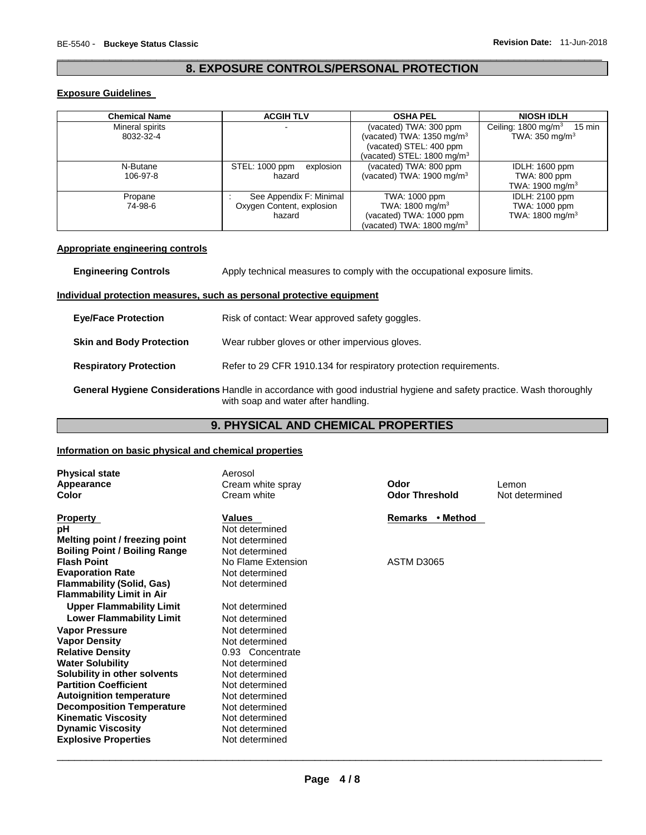### \_\_\_\_\_\_\_\_\_\_\_\_\_\_\_\_\_\_\_\_\_\_\_\_\_\_\_\_\_\_\_\_\_\_\_\_\_\_\_\_\_\_\_\_\_\_\_\_\_\_\_\_\_\_\_\_\_\_\_\_\_\_\_\_\_\_\_\_\_\_\_\_\_\_\_\_\_\_\_\_\_\_\_\_\_\_\_\_\_\_\_\_\_ **8. EXPOSURE CONTROLS/PERSONAL PROTECTION**

### **Exposure Guidelines**

| <b>Chemical Name</b>         | <b>ACGIH TLV</b>                                               | <b>OSHA PEL</b>                                                                                                            | <b>NIOSH IDLH</b>                                                               |
|------------------------------|----------------------------------------------------------------|----------------------------------------------------------------------------------------------------------------------------|---------------------------------------------------------------------------------|
| Mineral spirits<br>8032-32-4 |                                                                | (vacated) TWA: 300 ppm<br>(vacated) TWA: $1350 \text{ mg/m}^3$<br>(vacated) STEL: 400 ppm<br>(vacated) STEL: 1800 mg/m $3$ | Ceiling: $1800 \text{ mg/m}^3$<br>$15 \text{ min}$<br>TWA: $350 \text{ mg/m}^3$ |
| N-Butane<br>106-97-8         | explosion<br>STEL: 1000 ppm<br>hazard                          | (vacated) TWA: 800 ppm<br>(vacated) TWA: $1900 \text{ mg/m}^3$                                                             | <b>IDLH: 1600 ppm</b><br>TWA: 800 ppm<br>TWA: 1900 mg/m $3$                     |
| Propane<br>74-98-6           | See Appendix F: Minimal<br>Oxygen Content, explosion<br>hazard | TWA: 1000 ppm<br>TWA: 1800 mg/m <sup>3</sup><br>(vacated) TWA: 1000 ppm<br>(vacated) TWA: 1800 mg/m $3$                    | <b>IDLH: 2100 ppm</b><br>TWA: 1000 ppm<br>TWA: $1800 \text{ mg/m}^3$            |

### **Appropriate engineering controls**

| <b>Engineering Controls</b>     | Apply technical measures to comply with the occupational exposure limits.                                                                                    |  |
|---------------------------------|--------------------------------------------------------------------------------------------------------------------------------------------------------------|--|
|                                 | Individual protection measures, such as personal protective equipment                                                                                        |  |
| <b>Eye/Face Protection</b>      | Risk of contact: Wear approved safety goggles.                                                                                                               |  |
| <b>Skin and Body Protection</b> | Wear rubber gloves or other impervious gloves.                                                                                                               |  |
| <b>Respiratory Protection</b>   | Refer to 29 CFR 1910.134 for respiratory protection requirements.                                                                                            |  |
|                                 | General Hygiene Considerations Handle in accordance with good industrial hygiene and safety practice. Wash thoroughly<br>with soap and water after handling. |  |

### **9. PHYSICAL AND CHEMICAL PROPERTIES**

### **Information on basic physical and chemical properties**

| <b>Physical state</b><br>Appearance<br>Color                                                                                        | Aerosol<br>Cream white spray<br>Cream white                          | Odor<br><b>Odor Threshold</b> | Lemon<br>Not determined |
|-------------------------------------------------------------------------------------------------------------------------------------|----------------------------------------------------------------------|-------------------------------|-------------------------|
| <b>Property</b><br>pH                                                                                                               | Values<br>Not determined                                             | Remarks • Method              |                         |
| Melting point / freezing point<br><b>Boiling Point / Boiling Range</b>                                                              | Not determined<br>Not determined                                     |                               |                         |
| <b>Flash Point</b><br><b>Evaporation Rate</b><br><b>Flammability (Solid, Gas)</b>                                                   | No Flame Extension<br>Not determined<br>Not determined               | ASTM D3065                    |                         |
| <b>Flammability Limit in Air</b><br><b>Upper Flammability Limit</b>                                                                 | Not determined                                                       |                               |                         |
| <b>Lower Flammability Limit</b><br><b>Vapor Pressure</b>                                                                            | Not determined<br>Not determined                                     |                               |                         |
| <b>Vapor Density</b><br><b>Relative Density</b><br><b>Water Solubility</b>                                                          | Not determined<br>0.93 Concentrate<br>Not determined                 |                               |                         |
| Solubility in other solvents<br><b>Partition Coefficient</b><br><b>Autoignition temperature</b><br><b>Decomposition Temperature</b> | Not determined<br>Not determined<br>Not determined<br>Not determined |                               |                         |
| <b>Kinematic Viscosity</b><br><b>Dynamic Viscosity</b><br><b>Explosive Properties</b>                                               | Not determined<br>Not determined<br>Not determined                   |                               |                         |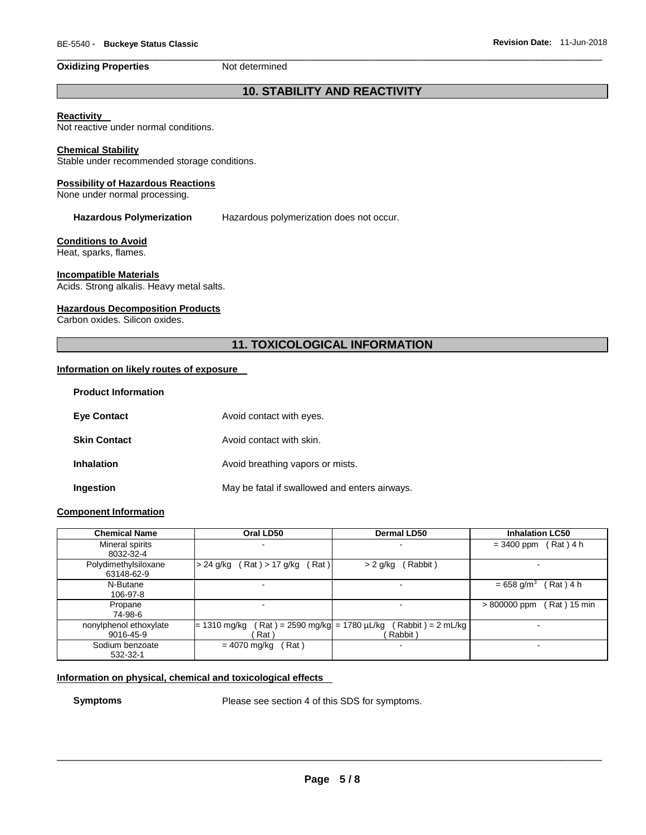#### **Oxidizing Properties Not determined**

## **10. STABILITY AND REACTIVITY**

\_\_\_\_\_\_\_\_\_\_\_\_\_\_\_\_\_\_\_\_\_\_\_\_\_\_\_\_\_\_\_\_\_\_\_\_\_\_\_\_\_\_\_\_\_\_\_\_\_\_\_\_\_\_\_\_\_\_\_\_\_\_\_\_\_\_\_\_\_\_\_\_\_\_\_\_\_\_\_\_\_\_\_\_\_\_\_\_\_\_\_\_\_

### **Reactivity**

Not reactive under normal conditions.

### **Chemical Stability**

Stable under recommended storage conditions.

#### **Possibility of Hazardous Reactions**

None under normal processing.

**Hazardous Polymerization** Hazardous polymerization does not occur.

#### **Conditions to Avoid**

Heat, sparks, flames.

### **Incompatible Materials**

Acids. Strong alkalis. Heavy metal salts.

### **Hazardous Decomposition Products**

Carbon oxides. Silicon oxides.

### **11. TOXICOLOGICAL INFORMATION**

### **Information on likely routes of exposure**

| <b>Product Information</b> |                                               |
|----------------------------|-----------------------------------------------|
| <b>Eve Contact</b>         | Avoid contact with eyes.                      |
| <b>Skin Contact</b>        | Avoid contact with skin.                      |
| <b>Inhalation</b>          | Avoid breathing vapors or mists.              |
| Ingestion                  | May be fatal if swallowed and enters airways. |

### **Component Information**

| <b>Chemical Name</b>   | Oral LD50                                           | <b>Dermal LD50</b>  | <b>Inhalation LC50</b>                |
|------------------------|-----------------------------------------------------|---------------------|---------------------------------------|
| Mineral spirits        |                                                     |                     | $(Rat)$ 4 h<br>$= 3400$ ppm           |
| 8032-32-4              |                                                     |                     |                                       |
| Polydimethylsiloxane   | Rat ) > 17 g/kg<br>Rat)<br>> 24 g/kg                | Rabbit)<br>> 2 g/kg |                                       |
| 63148-62-9             |                                                     |                     |                                       |
| N-Butane               |                                                     |                     | $= 658$ g/m <sup>3</sup><br>Rat ) 4 h |
| 106-97-8               |                                                     |                     |                                       |
| Propane                |                                                     |                     | > 800000 ppm<br>Rat ) 15 min          |
| 74-98-6                |                                                     |                     |                                       |
| nonylphenol ethoxylate | $(Rat) = 2590$ mg/kg = 1780 µL/kg<br>$= 1310$ mg/kg | $(Rabbit) = 2 mLka$ |                                       |
| 9016-45-9              | Rat <sup>1</sup>                                    | Rabbit)             |                                       |
| Sodium benzoate        | $= 4070$ mg/kg<br>Rat)                              | -                   |                                       |
| 532-32-1               |                                                     |                     |                                       |

### **Information on physical, chemical and toxicological effects**

**Symptoms** Please see section 4 of this SDS for symptoms.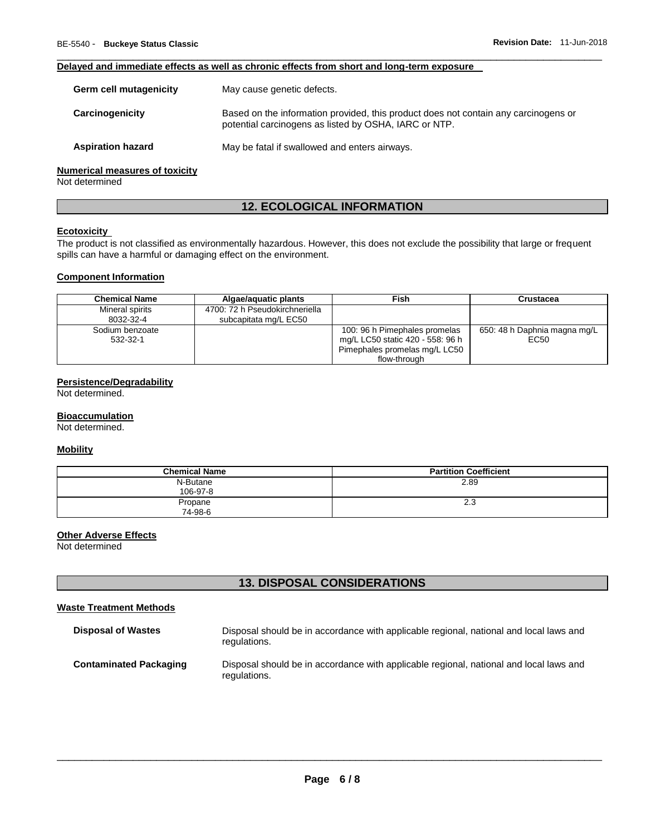### **Delayed and immediate effects as well as chronic effects from short and long-term exposure**

| Germ cell mutagenicity                | May cause genetic defects.                                                                                                                   |
|---------------------------------------|----------------------------------------------------------------------------------------------------------------------------------------------|
| Carcinogenicity                       | Based on the information provided, this product does not contain any carcinogens or<br>potential carcinogens as listed by OSHA, IARC or NTP. |
| <b>Aspiration hazard</b>              | May be fatal if swallowed and enters airways.                                                                                                |
| <b>Numerical measures of toxicity</b> |                                                                                                                                              |

\_\_\_\_\_\_\_\_\_\_\_\_\_\_\_\_\_\_\_\_\_\_\_\_\_\_\_\_\_\_\_\_\_\_\_\_\_\_\_\_\_\_\_\_\_\_\_\_\_\_\_\_\_\_\_\_\_\_\_\_\_\_\_\_\_\_\_\_\_\_\_\_\_\_\_\_\_\_\_\_\_\_\_\_\_\_\_\_\_\_\_\_\_

Not determined

### **12. ECOLOGICAL INFORMATION**

### **Ecotoxicity**

The product is not classified as environmentally hazardous. However, this does not exclude the possibility that large or frequent spills can have a harmful or damaging effect on the environment.

### **Component Information**

| <b>Chemical Name</b>         | Algae/aguatic plants                                    | Fish                                                                                                               | Crustacea                            |
|------------------------------|---------------------------------------------------------|--------------------------------------------------------------------------------------------------------------------|--------------------------------------|
| Mineral spirits<br>8032-32-4 | 4700: 72 h Pseudokirchneriella<br>subcapitata mg/L EC50 |                                                                                                                    |                                      |
| Sodium benzoate<br>532-32-1  |                                                         | 100: 96 h Pimephales promelas<br>mg/L LC50 static 420 - 558: 96 h<br>Pimephales promelas mg/L LC50<br>flow-through | 650: 48 h Daphnia magna mg/L<br>EC50 |

### **Persistence/Degradability**

Not determined.

#### **Bioaccumulation**

Not determined.

### **Mobility**

| <b>Chemical Name</b> | <b>Partition Coefficient</b> |
|----------------------|------------------------------|
| N-Butane             | 2.89                         |
| 106-97-8             |                              |
| Propane              | 2.3                          |
| 74-98-6              |                              |

### **Other Adverse Effects**

Not determined

### **13. DISPOSAL CONSIDERATIONS**

### **Waste Treatment Methods**

| <b>Disposal of Wastes</b>     | Disposal should be in accordance with applicable regional, national and local laws and<br>regulations. |
|-------------------------------|--------------------------------------------------------------------------------------------------------|
| <b>Contaminated Packaging</b> | Disposal should be in accordance with applicable regional, national and local laws and<br>regulations. |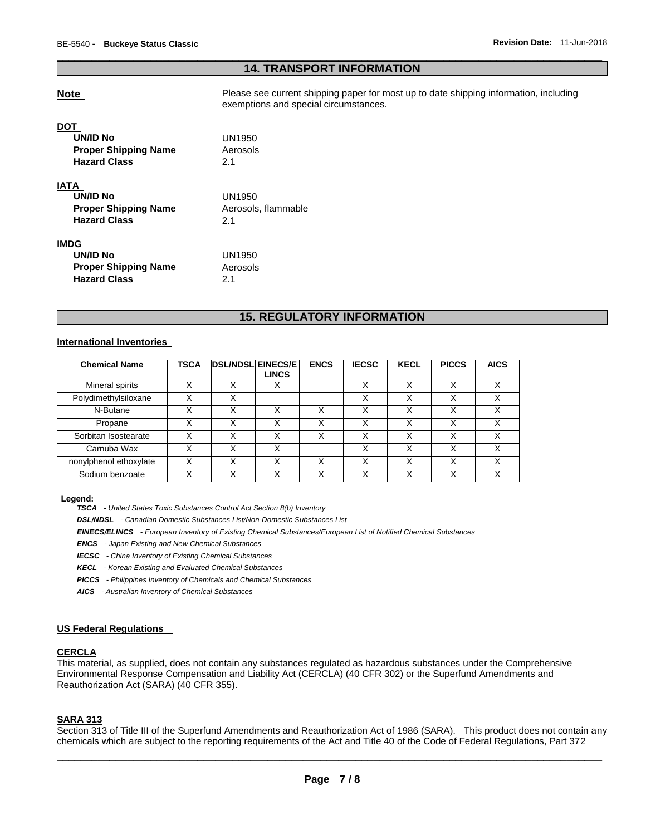### \_\_\_\_\_\_\_\_\_\_\_\_\_\_\_\_\_\_\_\_\_\_\_\_\_\_\_\_\_\_\_\_\_\_\_\_\_\_\_\_\_\_\_\_\_\_\_\_\_\_\_\_\_\_\_\_\_\_\_\_\_\_\_\_\_\_\_\_\_\_\_\_\_\_\_\_\_\_\_\_\_\_\_\_\_\_\_\_\_\_\_\_\_ **14. TRANSPORT INFORMATION**

**Note Please see current shipping paper for most up to date shipping information, including** exemptions and special circumstances.

**UN/ID No** UN1950 **Proper Shipping Name Aerosols Hazard Class** 2.1 **IATA UN/ID No** UN1950 **Proper Shipping Name Aerosols, flammable Hazard Class** 2.1 **IMDG UN/ID No** UN1950 **Proper Shipping Name Aerosols Hazard Class** 2.1

### **15. REGULATORY INFORMATION**

### **International Inventories**

| <b>Chemical Name</b>   | TSCA | <b>DSL/NDSL EINECS/E</b> |              | <b>ENCS</b> | <b>IECSC</b> | <b>KECL</b> | <b>PICCS</b> | <b>AICS</b> |
|------------------------|------|--------------------------|--------------|-------------|--------------|-------------|--------------|-------------|
|                        |      |                          | <b>LINCS</b> |             |              |             |              |             |
| Mineral spirits        | Χ    | Χ                        | х            |             | Χ            | x           | X            | X           |
| Polydimethylsiloxane   | Χ    | Χ                        |              |             | Χ            | x           | Χ            | Χ           |
| N-Butane               |      |                          |              | Χ           | v            |             | Χ            | v           |
| Propane                | Χ    | x                        | Χ            | Χ           | X            | Χ           | Χ            | $\check{ }$ |
| Sorbitan Isostearate   |      |                          |              | Χ           | X            |             | Χ            | ∨           |
| Carnuba Wax            | x    | x                        | Χ            |             | Χ            | x           | x            | X           |
| nonylphenol ethoxylate | Χ    | Χ                        | Χ            | Χ           | Χ            | X           | x            | X           |
| Sodium benzoate        |      |                          |              |             |              |             |              | v           |

#### **Legend:**

*TSCA - United States Toxic Substances Control Act Section 8(b) Inventory* 

*DSL/NDSL - Canadian Domestic Substances List/Non-Domestic Substances List* 

*EINECS/ELINCS - European Inventory of Existing Chemical Substances/European List of Notified Chemical Substances* 

*ENCS - Japan Existing and New Chemical Substances* 

*IECSC - China Inventory of Existing Chemical Substances* 

*KECL - Korean Existing and Evaluated Chemical Substances* 

*PICCS - Philippines Inventory of Chemicals and Chemical Substances* 

*AICS - Australian Inventory of Chemical Substances* 

#### **US Federal Regulations**

### **CERCLA**

This material, as supplied, does not contain any substances regulated as hazardous substances under the Comprehensive Environmental Response Compensation and Liability Act (CERCLA) (40 CFR 302) or the Superfund Amendments and Reauthorization Act (SARA) (40 CFR 355).

### **SARA 313**

\_\_\_\_\_\_\_\_\_\_\_\_\_\_\_\_\_\_\_\_\_\_\_\_\_\_\_\_\_\_\_\_\_\_\_\_\_\_\_\_\_\_\_\_\_\_\_\_\_\_\_\_\_\_\_\_\_\_\_\_\_\_\_\_\_\_\_\_\_\_\_\_\_\_\_\_\_\_\_\_\_\_\_\_\_\_\_\_\_\_\_\_\_ Section 313 of Title III of the Superfund Amendments and Reauthorization Act of 1986 (SARA). This product does not contain any chemicals which are subject to the reporting requirements of the Act and Title 40 of the Code of Federal Regulations, Part 372